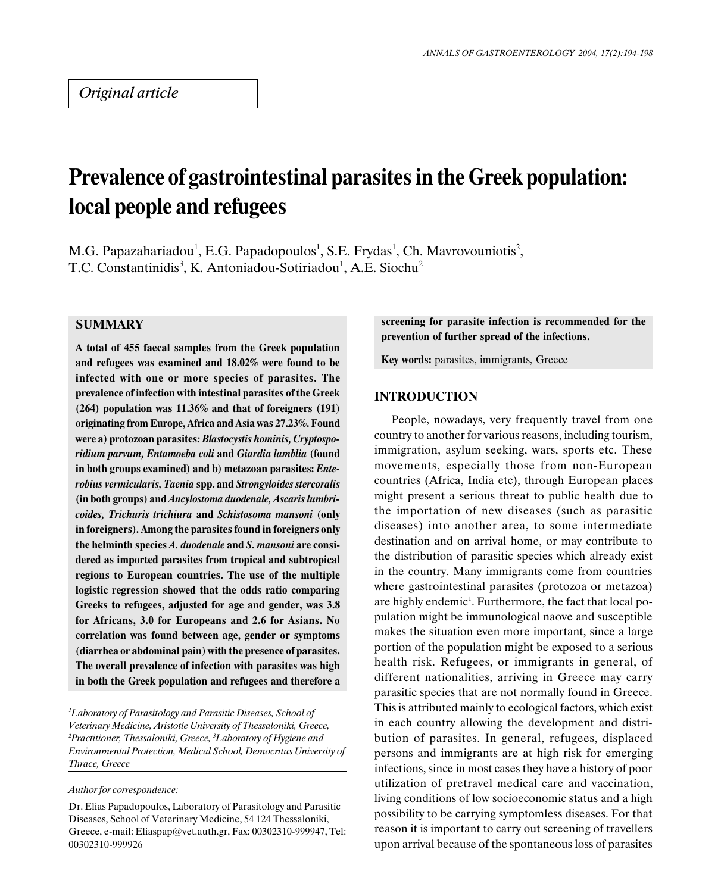# Prevalence of gastrointestinal parasites in the Greek population: local people and refugees

M.G. Papazahariadou<sup>1</sup>, E.G. Papadopoulos<sup>1</sup>, S.E. Frydas<sup>1</sup>, Ch. Mavrovouniotis<sup>2</sup>, T.C. Constantinidis<sup>3</sup>, K. Antoniadou-Sotiriadou<sup>1</sup>, A.E. Siochu<sup>2</sup>

# **SUMMARY**

A total of 455 faecal samples from the Greek population and refugees was examined and 18.02% were found to be infected with one or more species of parasites. The prevalence of infection with intestinal parasites of the Greek (264) population was 11.36% and that of foreigners (191) originating from Europe, Africa and Asia was 27.23%. Found were a) protozoan parasites: Blastocystis hominis, Cryptosporidium parvum, Entamoeba coli and Giardia lamblia (found in both groups examined) and b) metazoan parasites: Enterobius vermicularis, Taenia spp. and Strongyloides stercoralis (in both groups) and Ancylostoma duodenale, Ascaris lumbricoides, Trichuris trichiura and Schistosoma mansoni (only in foreigners). Among the parasites found in foreigners only the helminth species A. duodenale and S. mansoni are considered as imported parasites from tropical and subtropical regions to European countries. The use of the multiple logistic regression showed that the odds ratio comparing Greeks to refugees, adjusted for age and gender, was 3.8 for Africans, 3.0 for Europeans and 2.6 for Asians. No correlation was found between age, gender or symptoms (diarrhea or abdominal pain) with the presence of parasites. The overall prevalence of infection with parasites was high in both the Greek population and refugees and therefore a

<sup>1</sup>Laboratory of Parasitology and Parasitic Diseases, School of Veterinary Medicine, Aristotle University of Thessaloniki, Greece,  $^{2}$ Practitioner, Thessaloniki, Greece,  $^{3}$ Laboratory of Hygiene and Environmental Protection, Medical School, Democritus University of Thrace, Greece

#### Author for correspondence:

Dr. Elias Papadopoulos, Laboratory of Parasitology and Parasitic Diseases, School of Veterinary Medicine, 54 124 Thessaloniki, Greece, e-mail: Eliaspap@vet.auth.gr, Fax: 00302310-999947, Tel: 00302310-999926

screening for parasite infection is recommended for the prevention of further spread of the infections.

Key words: parasites, immigrants, Greece

# INTRODUCTION

People, nowadays, very frequently travel from one country to another for various reasons, including tourism, immigration, asylum seeking, wars, sports etc. These movements, especially those from non-European countries (Africa, India etc), through European places might present a serious threat to public health due to the importation of new diseases (such as parasitic diseases) into another area, to some intermediate destination and on arrival home, or may contribute to the distribution of parasitic species which already exist in the country. Many immigrants come from countries where gastrointestinal parasites (protozoa or metazoa) are highly endemic<sup>1</sup>. Furthermore, the fact that local population might be immunological naove and susceptible makes the situation even more important, since a large portion of the population might be exposed to a serious health risk. Refugees, or immigrants in general, of different nationalities, arriving in Greece may carry parasitic species that are not normally found in Greece. This is attributed mainly to ecological factors, which exist in each country allowing the development and distribution of parasites. In general, refugees, displaced persons and immigrants are at high risk for emerging infections, since in most cases they have a history of poor utilization of pretravel medical care and vaccination, living conditions of low socioeconomic status and a high possibility to be carrying symptomless diseases. For that reason it is important to carry out screening of travellers upon arrival because of the spontaneous loss of parasites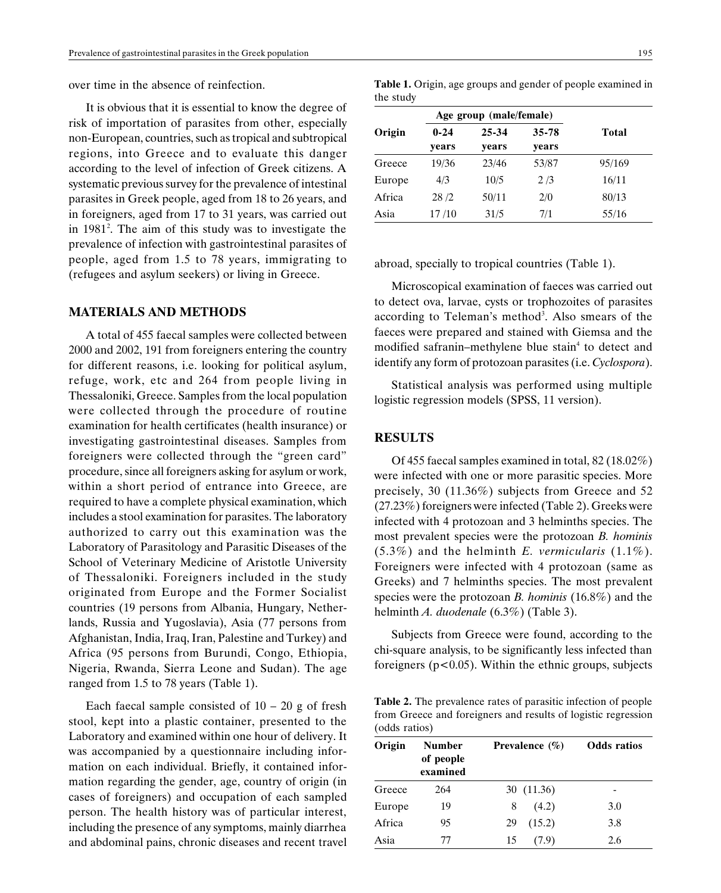over time in the absence of reinfection.

It is obvious that it is essential to know the degree of risk of importation of parasites from other, especially non-European, countries, such as tropical and subtropical regions, into Greece and to evaluate this danger according to the level of infection of Greek citizens. A systematic previous survey for the prevalence of intestinal parasites in Greek people, aged from 18 to 26 years, and in foreigners, aged from 17 to 31 years, was carried out in 1981<sup>2</sup>. The aim of this study was to investigate the prevalence of infection with gastrointestinal parasites of people, aged from 1.5 to 78 years, immigrating to (refugees and asylum seekers) or living in Greece.

#### MATERIALS AND METHODS

A total of 455 faecal samples were collected between 2000 and 2002, 191 from foreigners entering the country for different reasons, i.e. looking for political asylum, refuge, work, etc and 264 from people living in Thessaloniki, Greece. Samples from the local population were collected through the procedure of routine examination for health certificates (health insurance) or investigating gastrointestinal diseases. Samples from foreigners were collected through the "green card" procedure, since all foreigners asking for asylum or work, within a short period of entrance into Greece, are required to have a complete physical examination, which includes a stool examination for parasites. The laboratory authorized to carry out this examination was the Laboratory of Parasitology and Parasitic Diseases of the School of Veterinary Medicine of Aristotle University of Thessaloniki. Foreigners included in the study originated from Europe and the Former Socialist countries (19 persons from Albania, Hungary, Netherlands, Russia and Yugoslavia), Asia (77 persons from Afghanistan, India, Iraq, Iran, Palestine and Turkey) and Africa (95 persons from Burundi, Congo, Ethiopia, Nigeria, Rwanda, Sierra Leone and Sudan). The age ranged from 1.5 to 78 years (Table 1).

Each faecal sample consisted of  $10 - 20$  g of fresh stool, kept into a plastic container, presented to the Laboratory and examined within one hour of delivery. It was accompanied by a questionnaire including information on each individual. Briefly, it contained information regarding the gender, age, country of origin (in cases of foreigners) and occupation of each sampled person. The health history was of particular interest, including the presence of any symptoms, mainly diarrhea and abdominal pains, chronic diseases and recent travel

| Table 1. Origin, age groups and gender of people examined in |  |  |  |  |
|--------------------------------------------------------------|--|--|--|--|
| the study                                                    |  |  |  |  |

|        | Age group (male/female) |       |       |              |  |
|--------|-------------------------|-------|-------|--------------|--|
| Origin | $0 - 24$                | 25-34 | 35-78 | <b>Total</b> |  |
|        | vears                   | vears | vears |              |  |
| Greece | 19/36                   | 23/46 | 53/87 | 95/169       |  |
| Europe | 4/3                     | 10/5  | 2/3   | 16/11        |  |
| Africa | 28/2                    | 50/11 | 2/0   | 80/13        |  |
| Asia   | 17/10                   | 31/5  | 7/1   | 55/16        |  |

abroad, specially to tropical countries (Table 1).

Microscopical examination of faeces was carried out to detect ova, larvae, cysts or trophozoites of parasites according to Teleman's method<sup>3</sup>. Also smears of the faeces were prepared and stained with Giemsa and the modified safranin-methylene blue stain<sup>4</sup> to detect and identify any form of protozoan parasites (i.e. Cyclospora).

Statistical analysis was performed using multiple logistic regression models (SPSS, 11 version).

# RESULTS

Of 455 faecal samples examined in total, 82 (18.02%) were infected with one or more parasitic species. More precisely, 30 (11.36%) subjects from Greece and 52 (27.23%) foreigners were infected (Table 2). Greeks were infected with 4 protozoan and 3 helminths species. The most prevalent species were the protozoan B. hominis  $(5.3\%)$  and the helminth *E. vermicularis*  $(1.1\%)$ . Foreigners were infected with 4 protozoan (same as Greeks) and 7 helminths species. The most prevalent species were the protozoan B. hominis  $(16.8\%)$  and the helminth A. duodenale (6.3%) (Table 3).

Subjects from Greece were found, according to the chi-square analysis, to be significantly less infected than foreigners ( $p < 0.05$ ). Within the ethnic groups, subjects

Table 2. The prevalence rates of parasitic infection of people from Greece and foreigners and results of logistic regression (odds ratios)

| Origin | <b>Number</b><br>of people<br>examined | Prevalence $(\% )$ | <b>Odds</b> ratios |  |  |
|--------|----------------------------------------|--------------------|--------------------|--|--|
| Greece | 264                                    | 30 (11.36)         |                    |  |  |
| Europe | 19                                     | (4.2)<br>8         | 3.0                |  |  |
| Africa | 95                                     | (15.2)<br>29       | 3.8                |  |  |
| Asia   | 77                                     | 15<br>(7.9)        | 2.6                |  |  |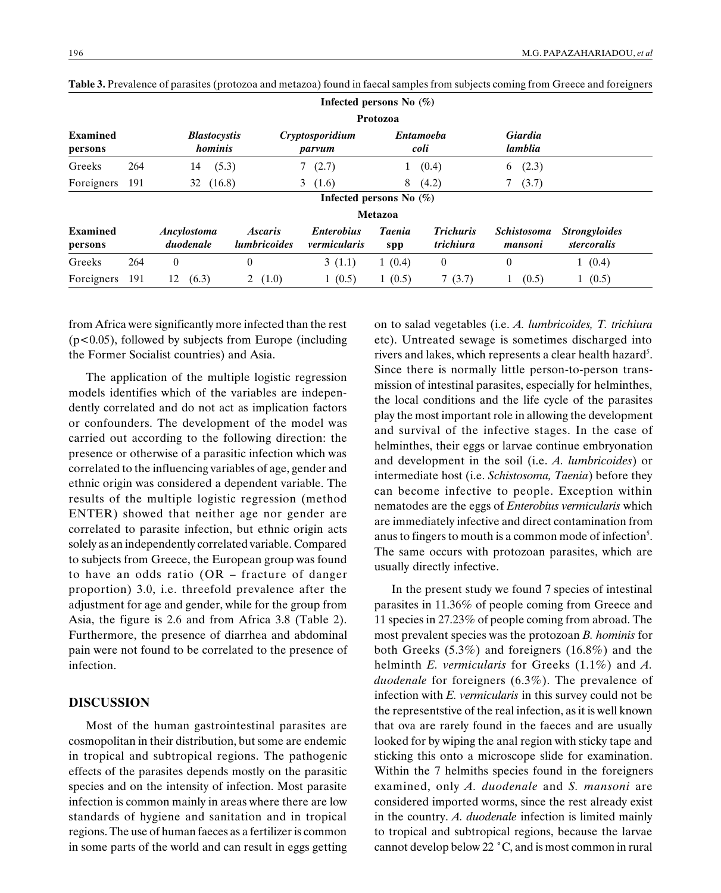|                            |     |                                |                                              | Infected persons No $(\%)$               |                          |                               |                               |                                     |
|----------------------------|-----|--------------------------------|----------------------------------------------|------------------------------------------|--------------------------|-------------------------------|-------------------------------|-------------------------------------|
|                            |     |                                |                                              |                                          | Protozoa                 |                               |                               |                                     |
| <b>Examined</b><br>persons |     | <b>Blastocystis</b><br>hominis |                                              | Cryptosporidium<br>parvum                | <b>Entamoeba</b><br>coli |                               | Giardia<br>lamblia            |                                     |
| Greeks                     | 264 | (5.3)<br>14                    |                                              | (2.7)                                    | T.                       | (0.4)                         | (2.3)<br>6                    |                                     |
| Foreigners                 | 191 | (16.8)<br>32                   |                                              | (1.6)<br>3                               | 8                        | (4.2)                         | (3.7)                         |                                     |
|                            |     |                                |                                              | Infected persons No $(\%)$               |                          |                               |                               |                                     |
|                            |     |                                |                                              |                                          | Metazoa                  |                               |                               |                                     |
| Examined<br>persons        |     | Ancylostoma<br>duodenale       | <i><b>Ascaris</b></i><br><i>lumbricoides</i> | <i><b>Enterobius</b></i><br>vermicularis | <b>Taenia</b><br>spp     | <b>Trichuris</b><br>trichiura | <b>Schistosoma</b><br>mansoni | <b>Strongyloides</b><br>stercoralis |
| Greeks                     | 264 | $\theta$                       | 0                                            | 3(1.1)                                   | 1(0.4)                   | $\mathbf{0}$                  | $\theta$                      | 1(0.4)                              |
| Foreigners                 | 191 | 12<br>(6.3)                    | (1.0)<br>2                                   | 1(0.5)                                   | 1(0.5)                   | 7(3.7)                        | (0.5)                         | (0.5)                               |

Table 3. Prevalence of parasites (protozoa and metazoa) found in faecal samples from subjects coming from Greece and foreigners

from Africa were significantly more infected than the rest (p<0.05), followed by subjects from Europe (including the Former Socialist countries) and Asia.

The application of the multiple logistic regression models identifies which of the variables are independently correlated and do not act as implication factors or confounders. The development of the model was carried out according to the following direction: the presence or otherwise of a parasitic infection which was correlated to the influencing variables of age, gender and ethnic origin was considered a dependent variable. The results of the multiple logistic regression (method ENTER) showed that neither age nor gender are correlated to parasite infection, but ethnic origin acts solely as an independently correlated variable. Compared to subjects from Greece, the European group was found to have an odds ratio  $(OR -$  fracture of danger proportion) 3.0, i.e. threefold prevalence after the adjustment for age and gender, while for the group from Asia, the figure is 2.6 and from Africa 3.8 (Table 2). Furthermore, the presence of diarrhea and abdominal pain were not found to be correlated to the presence of infection.

### DISCUSSION

Most of the human gastrointestinal parasites are cosmopolitan in their distribution, but some are endemic in tropical and subtropical regions. The pathogenic effects of the parasites depends mostly on the parasitic species and on the intensity of infection. Most parasite infection is common mainly in areas where there are low standards of hygiene and sanitation and in tropical regions. The use of human faeces as a fertilizer is common in some parts of the world and can result in eggs getting on to salad vegetables (i.e. A. lumbricoides, T. trichiura etc). Untreated sewage is sometimes discharged into rivers and lakes, which represents a clear health hazard<sup>5</sup>. Since there is normally little person-to-person transmission of intestinal parasites, especially for helminthes, the local conditions and the life cycle of the parasites play the most important role in allowing the development and survival of the infective stages. In the case of helminthes, their eggs or larvae continue embryonation and development in the soil (i.e. A. lumbricoides) or intermediate host (i.e. Schistosoma, Taenia) before they can become infective to people. Exception within nematodes are the eggs of Enterobius vermicularis which are immediately infective and direct contamination from anus to fingers to mouth is a common mode of infection<sup>5</sup>. The same occurs with protozoan parasites, which are usually directly infective.

In the present study we found 7 species of intestinal parasites in 11.36% of people coming from Greece and 11 species in 27.23% of people coming from abroad. The most prevalent species was the protozoan B. hominis for both Greeks (5.3%) and foreigners (16.8%) and the helminth *E. vermicularis* for Greeks (1.1%) and *A*. duodenale for foreigners (6.3%). The prevalence of infection with E. vermicularis in this survey could not be the representstive of the real infection, as it is well known that ova are rarely found in the faeces and are usually looked for by wiping the anal region with sticky tape and sticking this onto a microscope slide for examination. Within the 7 helmiths species found in the foreigners examined, only A. duodenale and S. mansoni are considered imported worms, since the rest already exist in the country. A. duodenale infection is limited mainly to tropical and subtropical regions, because the larvae cannot develop below 22 °C, and is most common in rural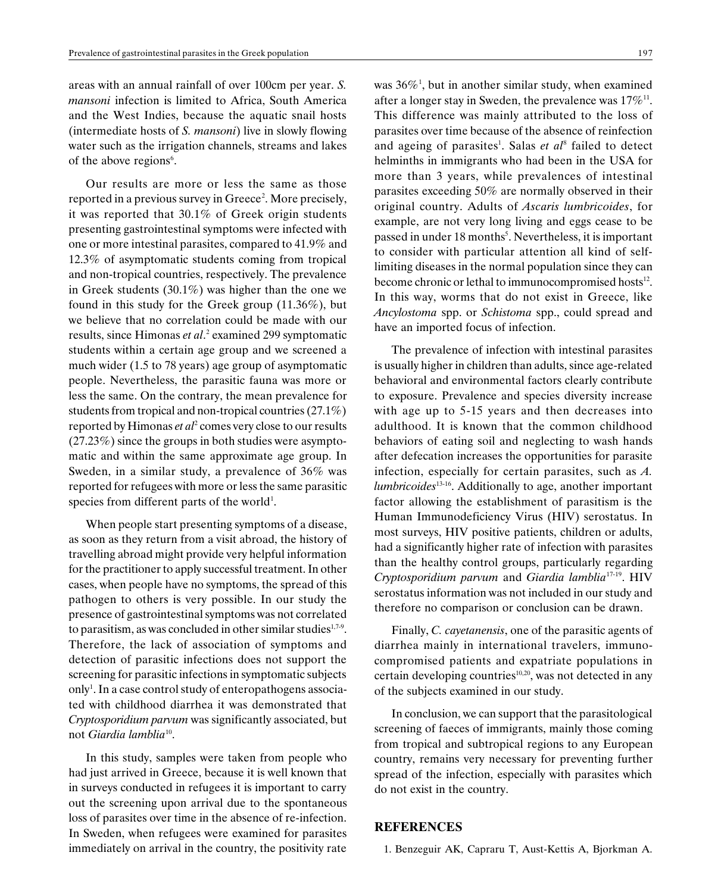areas with an annual rainfall of over 100cm per year. S. mansoni infection is limited to Africa, South America and the West Indies, because the aquatic snail hosts (intermediate hosts of S. mansoni) live in slowly flowing water such as the irrigation channels, streams and lakes of the above regions<sup>6</sup>.

Our results are more or less the same as those reported in a previous survey in Greece<sup>2</sup>. More precisely, it was reported that 30.1% of Greek origin students presenting gastrointestinal symptoms were infected with one or more intestinal parasites, compared to 41.9% and 12.3% of asymptomatic students coming from tropical and non-tropical countries, respectively. The prevalence in Greek students (30.1%) was higher than the one we found in this study for the Greek group (11.36%), but we believe that no correlation could be made with our results, since Himonas et al.<sup>2</sup> examined 299 symptomatic students within a certain age group and we screened a much wider (1.5 to 78 years) age group of asymptomatic people. Nevertheless, the parasitic fauna was more or less the same. On the contrary, the mean prevalence for students from tropical and non-tropical countries (27.1%) reported by Himonas *et al*<sup>2</sup> comes very close to our results (27.23%) since the groups in both studies were asymptomatic and within the same approximate age group. In Sweden, in a similar study, a prevalence of 36% was reported for refugees with more or less the same parasitic species from different parts of the world<sup>1</sup>.

When people start presenting symptoms of a disease, as soon as they return from a visit abroad, the history of travelling abroad might provide very helpful information for the practitioner to apply successful treatment. In other cases, when people have no symptoms, the spread of this pathogen to others is very possible. In our study the presence of gastrointestinal symptoms was not correlated to parasitism, as was concluded in other similar studies<sup>1,7-9</sup>. Therefore, the lack of association of symptoms and detection of parasitic infections does not support the screening for parasitic infections in symptomatic subjects only<sup>1</sup>. In a case control study of enteropathogens associated with childhood diarrhea it was demonstrated that Cryptosporidium parvum was significantly associated, but not Giardia lamblia<sup>10</sup>.

In this study, samples were taken from people who had just arrived in Greece, because it is well known that in surveys conducted in refugees it is important to carry out the screening upon arrival due to the spontaneous loss of parasites over time in the absence of re-infection. In Sweden, when refugees were examined for parasites immediately on arrival in the country, the positivity rate

was  $36\%$ <sup>1</sup>, but in another similar study, when examined after a longer stay in Sweden, the prevalence was  $17\%$ <sup>11</sup>. This difference was mainly attributed to the loss of parasites over time because of the absence of reinfection and ageing of parasites<sup>1</sup>. Salas et al<sup>8</sup> failed to detect helminths in immigrants who had been in the USA for more than 3 years, while prevalences of intestinal parasites exceeding 50% are normally observed in their original country. Adults of Ascaris lumbricoides, for example, are not very long living and eggs cease to be passed in under 18 months<sup>5</sup>. Nevertheless, it is important to consider with particular attention all kind of selflimiting diseases in the normal population since they can become chronic or lethal to immunocompromised hosts<sup>12</sup>. In this way, worms that do not exist in Greece, like Ancylostoma spp. or Schistoma spp., could spread and have an imported focus of infection.

The prevalence of infection with intestinal parasites is usually higher in children than adults, since age-related behavioral and environmental factors clearly contribute to exposure. Prevalence and species diversity increase with age up to 5-15 years and then decreases into adulthood. It is known that the common childhood behaviors of eating soil and neglecting to wash hands after defecation increases the opportunities for parasite infection, especially for certain parasites, such as A.  $lumbricoides<sup>13-16</sup>$ . Additionally to age, another important factor allowing the establishment of parasitism is the Human Immunodeficiency Virus (HIV) serostatus. In most surveys, HIV positive patients, children or adults, had a significantly higher rate of infection with parasites than the healthy control groups, particularly regarding Cryptosporidium parvum and Giardia lamblia<sup>17-19</sup>. HIV serostatus information was not included in our study and therefore no comparison or conclusion can be drawn.

Finally, C. cayetanensis, one of the parasitic agents of diarrhea mainly in international travelers, immunocompromised patients and expatriate populations in certain developing countries $10,20$ , was not detected in any of the subjects examined in our study.

In conclusion, we can support that the parasitological screening of faeces of immigrants, mainly those coming from tropical and subtropical regions to any European country, remains very necessary for preventing further spread of the infection, especially with parasites which do not exist in the country.

## REFERENCES